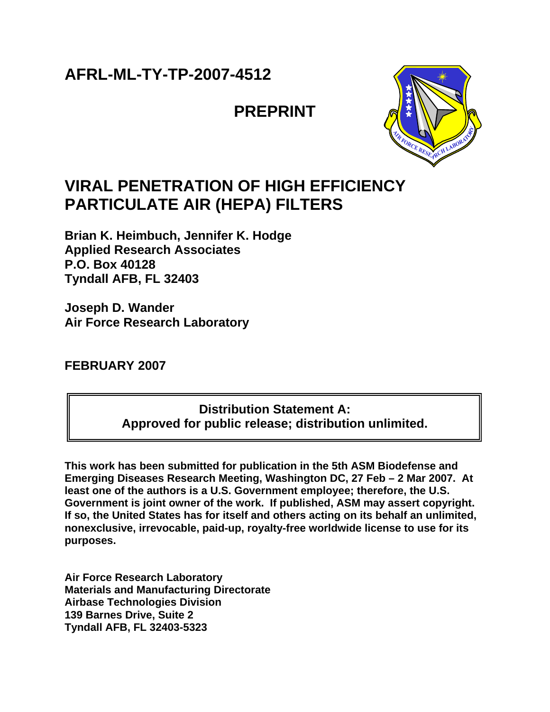# **AFRL-ML-TY-TP-2007-4512**

# **PREPRINT**



# **VIRAL PENETRATION OF HIGH EFFICIENCY PARTICULATE AIR (HEPA) FILTERS**

**Brian K. Heimbuch, Jennifer K. Hodge Applied Research Associates P.O. Box 40128 Tyndall AFB, FL 32403** 

**Joseph D. Wander Air Force Research Laboratory**

**FEBRUARY 2007** 

**Distribution Statement A: Approved for public release; distribution unlimited.** 

**This work has been submitted for publication in the 5th ASM Biodefense and Emerging Diseases Research Meeting, Washington DC, 27 Feb – 2 Mar 2007. At least one of the authors is a U.S. Government employee; therefore, the U.S. Government is joint owner of the work. If published, ASM may assert copyright. If so, the United States has for itself and others acting on its behalf an unlimited, nonexclusive, irrevocable, paid-up, royalty-free worldwide license to use for its purposes.**

**Air Force Research Laboratory Materials and Manufacturing Directorate Airbase Technologies Division 139 Barnes Drive, Suite 2 Tyndall AFB, FL 32403-5323**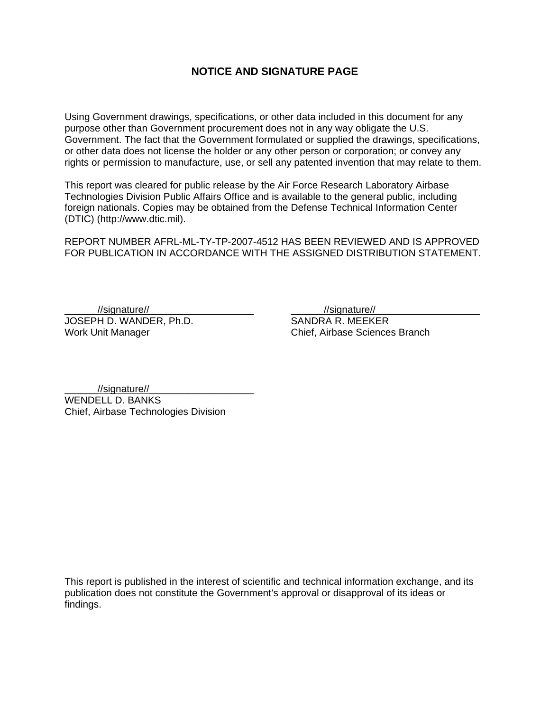# **NOTICE AND SIGNATURE PAGE**

Using Government drawings, specifications, or other data included in this document for any purpose other than Government procurement does not in any way obligate the U.S. Government. The fact that the Government formulated or supplied the drawings, specifications, or other data does not license the holder or any other person or corporation; or convey any rights or permission to manufacture, use, or sell any patented invention that may relate to them.

This report was cleared for public release by the Air Force Research Laboratory Airbase Technologies Division Public Affairs Office and is available to the general public, including foreign nationals. Copies may be obtained from the Defense Technical Information Center (DTIC) (http://www.dtic.mil).

REPORT NUMBER AFRL-ML-TY-TP-2007-4512 HAS BEEN REVIEWED AND IS APPROVED FOR PUBLICATION IN ACCORDANCE WITH THE ASSIGNED DISTRIBUTION STATEMENT.

JOSEPH D. WANDER, Ph.D. SANDRA R. MEEKER

//signature//

Work Unit Manager **Chief**, Airbase Sciences Branch

//signature//

WENDELL D. BANKS Chief, Airbase Technologies Division

This report is published in the interest of scientific and technical information exchange, and its publication does not constitute the Government's approval or disapproval of its ideas or findings.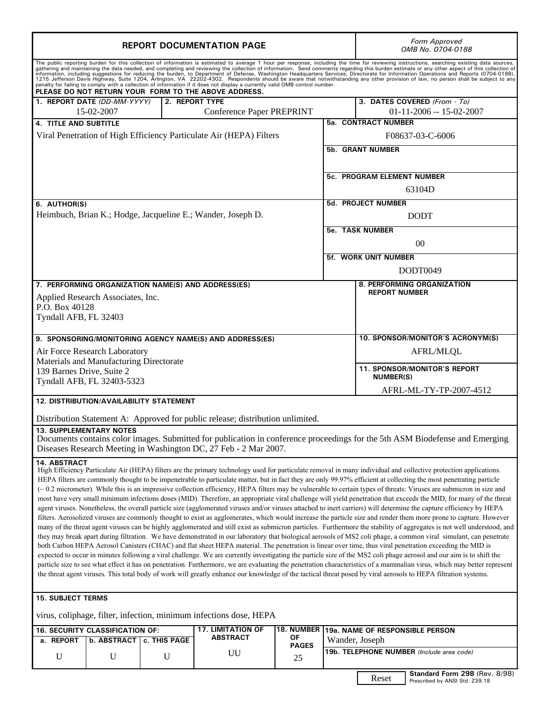|                                                                           | <b>REPORT DOCUMENTATION PAGE</b>                                                                      | Form Approved<br>OMB No. 0704-0188 |                                                                                |                              |                                   |                                                                                                                                                                                                                                                                                                                                                                                                                                                                                                                                                                                                                                                                                                                                                                                                                                                                                                                                                                                                                                                                                                                                                                                                                                                                                                                                                                                                                                                                                                                                                                                                                                                                                                                                                                                                                                                                                                                                                                                                                                                                     |  |  |
|---------------------------------------------------------------------------|-------------------------------------------------------------------------------------------------------|------------------------------------|--------------------------------------------------------------------------------|------------------------------|-----------------------------------|---------------------------------------------------------------------------------------------------------------------------------------------------------------------------------------------------------------------------------------------------------------------------------------------------------------------------------------------------------------------------------------------------------------------------------------------------------------------------------------------------------------------------------------------------------------------------------------------------------------------------------------------------------------------------------------------------------------------------------------------------------------------------------------------------------------------------------------------------------------------------------------------------------------------------------------------------------------------------------------------------------------------------------------------------------------------------------------------------------------------------------------------------------------------------------------------------------------------------------------------------------------------------------------------------------------------------------------------------------------------------------------------------------------------------------------------------------------------------------------------------------------------------------------------------------------------------------------------------------------------------------------------------------------------------------------------------------------------------------------------------------------------------------------------------------------------------------------------------------------------------------------------------------------------------------------------------------------------------------------------------------------------------------------------------------------------|--|--|
|                                                                           |                                                                                                       |                                    |                                                                                |                              |                                   | The public reporting burden for this collection of information is estimated to average 1 hour per response, including the time for reviewing instructions, searching existing data sources,<br>The public and maintaining the data needed, and completing and reviewing the collection of information. Send comments regarding this burden estimate or any other aspect of this collection of information, including suggesti                                                                                                                                                                                                                                                                                                                                                                                                                                                                                                                                                                                                                                                                                                                                                                                                                                                                                                                                                                                                                                                                                                                                                                                                                                                                                                                                                                                                                                                                                                                                                                                                                                       |  |  |
|                                                                           | PLEASE DO NOT RETURN YOUR FORM TO THE ABOVE ADDRESS.<br>2. REPORT TYPE<br>1. REPORT DATE (DD-MM-YYYY) |                                    |                                                                                | 3. DATES COVERED (From - To) |                                   |                                                                                                                                                                                                                                                                                                                                                                                                                                                                                                                                                                                                                                                                                                                                                                                                                                                                                                                                                                                                                                                                                                                                                                                                                                                                                                                                                                                                                                                                                                                                                                                                                                                                                                                                                                                                                                                                                                                                                                                                                                                                     |  |  |
|                                                                           | 15-02-2007                                                                                            |                                    | Conference Paper PREPRINT                                                      |                              |                                   | $01-11-2006 - 15-02-2007$                                                                                                                                                                                                                                                                                                                                                                                                                                                                                                                                                                                                                                                                                                                                                                                                                                                                                                                                                                                                                                                                                                                                                                                                                                                                                                                                                                                                                                                                                                                                                                                                                                                                                                                                                                                                                                                                                                                                                                                                                                           |  |  |
| <b>4. TITLE AND SUBTITLE</b>                                              |                                                                                                       |                                    |                                                                                |                              |                                   | <b>5a. CONTRACT NUMBER</b>                                                                                                                                                                                                                                                                                                                                                                                                                                                                                                                                                                                                                                                                                                                                                                                                                                                                                                                                                                                                                                                                                                                                                                                                                                                                                                                                                                                                                                                                                                                                                                                                                                                                                                                                                                                                                                                                                                                                                                                                                                          |  |  |
|                                                                           | Viral Penetration of High Efficiency Particulate Air (HEPA) Filters                                   |                                    |                                                                                | F08637-03-C-6006             |                                   |                                                                                                                                                                                                                                                                                                                                                                                                                                                                                                                                                                                                                                                                                                                                                                                                                                                                                                                                                                                                                                                                                                                                                                                                                                                                                                                                                                                                                                                                                                                                                                                                                                                                                                                                                                                                                                                                                                                                                                                                                                                                     |  |  |
|                                                                           |                                                                                                       |                                    |                                                                                |                              | <b>5b. GRANT NUMBER</b>           |                                                                                                                                                                                                                                                                                                                                                                                                                                                                                                                                                                                                                                                                                                                                                                                                                                                                                                                                                                                                                                                                                                                                                                                                                                                                                                                                                                                                                                                                                                                                                                                                                                                                                                                                                                                                                                                                                                                                                                                                                                                                     |  |  |
|                                                                           |                                                                                                       |                                    |                                                                                |                              | <b>5c. PROGRAM ELEMENT NUMBER</b> |                                                                                                                                                                                                                                                                                                                                                                                                                                                                                                                                                                                                                                                                                                                                                                                                                                                                                                                                                                                                                                                                                                                                                                                                                                                                                                                                                                                                                                                                                                                                                                                                                                                                                                                                                                                                                                                                                                                                                                                                                                                                     |  |  |
|                                                                           |                                                                                                       | 63104D                             |                                                                                |                              |                                   |                                                                                                                                                                                                                                                                                                                                                                                                                                                                                                                                                                                                                                                                                                                                                                                                                                                                                                                                                                                                                                                                                                                                                                                                                                                                                                                                                                                                                                                                                                                                                                                                                                                                                                                                                                                                                                                                                                                                                                                                                                                                     |  |  |
| 6. AUTHOR(S)                                                              |                                                                                                       |                                    |                                                                                |                              |                                   | <b>5d. PROJECT NUMBER</b>                                                                                                                                                                                                                                                                                                                                                                                                                                                                                                                                                                                                                                                                                                                                                                                                                                                                                                                                                                                                                                                                                                                                                                                                                                                                                                                                                                                                                                                                                                                                                                                                                                                                                                                                                                                                                                                                                                                                                                                                                                           |  |  |
|                                                                           |                                                                                                       |                                    | Heimbuch, Brian K.; Hodge, Jacqueline E.; Wander, Joseph D.                    |                              |                                   | <b>DODT</b>                                                                                                                                                                                                                                                                                                                                                                                                                                                                                                                                                                                                                                                                                                                                                                                                                                                                                                                                                                                                                                                                                                                                                                                                                                                                                                                                                                                                                                                                                                                                                                                                                                                                                                                                                                                                                                                                                                                                                                                                                                                         |  |  |
|                                                                           |                                                                                                       |                                    |                                                                                |                              |                                   |                                                                                                                                                                                                                                                                                                                                                                                                                                                                                                                                                                                                                                                                                                                                                                                                                                                                                                                                                                                                                                                                                                                                                                                                                                                                                                                                                                                                                                                                                                                                                                                                                                                                                                                                                                                                                                                                                                                                                                                                                                                                     |  |  |
|                                                                           |                                                                                                       |                                    |                                                                                |                              |                                   | <b>5e. TASK NUMBER</b>                                                                                                                                                                                                                                                                                                                                                                                                                                                                                                                                                                                                                                                                                                                                                                                                                                                                                                                                                                                                                                                                                                                                                                                                                                                                                                                                                                                                                                                                                                                                                                                                                                                                                                                                                                                                                                                                                                                                                                                                                                              |  |  |
|                                                                           |                                                                                                       |                                    |                                                                                |                              |                                   | 00                                                                                                                                                                                                                                                                                                                                                                                                                                                                                                                                                                                                                                                                                                                                                                                                                                                                                                                                                                                                                                                                                                                                                                                                                                                                                                                                                                                                                                                                                                                                                                                                                                                                                                                                                                                                                                                                                                                                                                                                                                                                  |  |  |
|                                                                           |                                                                                                       |                                    |                                                                                |                              |                                   | <b>5f. WORK UNIT NUMBER</b>                                                                                                                                                                                                                                                                                                                                                                                                                                                                                                                                                                                                                                                                                                                                                                                                                                                                                                                                                                                                                                                                                                                                                                                                                                                                                                                                                                                                                                                                                                                                                                                                                                                                                                                                                                                                                                                                                                                                                                                                                                         |  |  |
|                                                                           |                                                                                                       |                                    |                                                                                |                              |                                   | DODT0049                                                                                                                                                                                                                                                                                                                                                                                                                                                                                                                                                                                                                                                                                                                                                                                                                                                                                                                                                                                                                                                                                                                                                                                                                                                                                                                                                                                                                                                                                                                                                                                                                                                                                                                                                                                                                                                                                                                                                                                                                                                            |  |  |
|                                                                           |                                                                                                       |                                    | 7. PERFORMING ORGANIZATION NAME(S) AND ADDRESS(ES)                             |                              |                                   | 8. PERFORMING ORGANIZATION                                                                                                                                                                                                                                                                                                                                                                                                                                                                                                                                                                                                                                                                                                                                                                                                                                                                                                                                                                                                                                                                                                                                                                                                                                                                                                                                                                                                                                                                                                                                                                                                                                                                                                                                                                                                                                                                                                                                                                                                                                          |  |  |
|                                                                           | Applied Research Associates, Inc.                                                                     |                                    |                                                                                |                              |                                   | <b>REPORT NUMBER</b>                                                                                                                                                                                                                                                                                                                                                                                                                                                                                                                                                                                                                                                                                                                                                                                                                                                                                                                                                                                                                                                                                                                                                                                                                                                                                                                                                                                                                                                                                                                                                                                                                                                                                                                                                                                                                                                                                                                                                                                                                                                |  |  |
| P.O. Box 40128                                                            |                                                                                                       |                                    |                                                                                |                              |                                   |                                                                                                                                                                                                                                                                                                                                                                                                                                                                                                                                                                                                                                                                                                                                                                                                                                                                                                                                                                                                                                                                                                                                                                                                                                                                                                                                                                                                                                                                                                                                                                                                                                                                                                                                                                                                                                                                                                                                                                                                                                                                     |  |  |
| Tyndall AFB, FL 32403                                                     |                                                                                                       |                                    |                                                                                |                              |                                   |                                                                                                                                                                                                                                                                                                                                                                                                                                                                                                                                                                                                                                                                                                                                                                                                                                                                                                                                                                                                                                                                                                                                                                                                                                                                                                                                                                                                                                                                                                                                                                                                                                                                                                                                                                                                                                                                                                                                                                                                                                                                     |  |  |
|                                                                           |                                                                                                       |                                    | 9. SPONSORING/MONITORING AGENCY NAME(S) AND ADDRESS(ES)                        |                              |                                   | 10. SPONSOR/MONITOR'S ACRONYM(S)                                                                                                                                                                                                                                                                                                                                                                                                                                                                                                                                                                                                                                                                                                                                                                                                                                                                                                                                                                                                                                                                                                                                                                                                                                                                                                                                                                                                                                                                                                                                                                                                                                                                                                                                                                                                                                                                                                                                                                                                                                    |  |  |
|                                                                           |                                                                                                       |                                    |                                                                                |                              |                                   |                                                                                                                                                                                                                                                                                                                                                                                                                                                                                                                                                                                                                                                                                                                                                                                                                                                                                                                                                                                                                                                                                                                                                                                                                                                                                                                                                                                                                                                                                                                                                                                                                                                                                                                                                                                                                                                                                                                                                                                                                                                                     |  |  |
|                                                                           | Air Force Research Laboratory<br>Materials and Manufacturing Directorate                              |                                    |                                                                                |                              |                                   | <b>AFRL/MLQL</b>                                                                                                                                                                                                                                                                                                                                                                                                                                                                                                                                                                                                                                                                                                                                                                                                                                                                                                                                                                                                                                                                                                                                                                                                                                                                                                                                                                                                                                                                                                                                                                                                                                                                                                                                                                                                                                                                                                                                                                                                                                                    |  |  |
| 139 Barnes Drive, Suite 2                                                 | Tyndall AFB, FL 32403-5323                                                                            |                                    |                                                                                |                              |                                   | <b>11. SPONSOR/MONITOR'S REPORT</b><br><b>NUMBER(S)</b>                                                                                                                                                                                                                                                                                                                                                                                                                                                                                                                                                                                                                                                                                                                                                                                                                                                                                                                                                                                                                                                                                                                                                                                                                                                                                                                                                                                                                                                                                                                                                                                                                                                                                                                                                                                                                                                                                                                                                                                                             |  |  |
|                                                                           |                                                                                                       |                                    |                                                                                |                              |                                   | AFRL-ML-TY-TP-2007-4512                                                                                                                                                                                                                                                                                                                                                                                                                                                                                                                                                                                                                                                                                                                                                                                                                                                                                                                                                                                                                                                                                                                                                                                                                                                                                                                                                                                                                                                                                                                                                                                                                                                                                                                                                                                                                                                                                                                                                                                                                                             |  |  |
|                                                                           | 12. DISTRIBUTION/AVAILABILITY STATEMENT                                                               |                                    |                                                                                |                              |                                   |                                                                                                                                                                                                                                                                                                                                                                                                                                                                                                                                                                                                                                                                                                                                                                                                                                                                                                                                                                                                                                                                                                                                                                                                                                                                                                                                                                                                                                                                                                                                                                                                                                                                                                                                                                                                                                                                                                                                                                                                                                                                     |  |  |
|                                                                           |                                                                                                       |                                    | Distribution Statement A: Approved for public release; distribution unlimited. |                              |                                   |                                                                                                                                                                                                                                                                                                                                                                                                                                                                                                                                                                                                                                                                                                                                                                                                                                                                                                                                                                                                                                                                                                                                                                                                                                                                                                                                                                                                                                                                                                                                                                                                                                                                                                                                                                                                                                                                                                                                                                                                                                                                     |  |  |
| <b>13. SUPPLEMENTARY NOTES</b>                                            |                                                                                                       |                                    | Diseases Research Meeting in Washington DC, 27 Feb - 2 Mar 2007.               |                              |                                   | Documents contains color images. Submitted for publication in conference proceedings for the 5th ASM Biodefense and Emerging                                                                                                                                                                                                                                                                                                                                                                                                                                                                                                                                                                                                                                                                                                                                                                                                                                                                                                                                                                                                                                                                                                                                                                                                                                                                                                                                                                                                                                                                                                                                                                                                                                                                                                                                                                                                                                                                                                                                        |  |  |
| 14. ABSTRACT                                                              |                                                                                                       |                                    |                                                                                |                              |                                   | High Efficiency Particulate Air (HEPA) filters are the primary technology used for particulate removal in many individual and collective protection applications.<br>HEPA filters are commonly thought to be impenetrable to particulate matter, but in fact they are only 99.97% efficient at collecting the most penetrating particle<br>(~0.2 micrometer). While this is an impressive collection efficiency, HEPA filters may be vulnerable to certain types of threats: Viruses are submicron in size and<br>most have very small minimum infections doses (MID). Therefore, an appropriate viral challenge will yield penetration that exceeds the MID, for many of the threat<br>agent viruses. Nonetheless, the overall particle size (agglomerated viruses and/or viruses attached to inert carriers) will determine the capture efficiency by HEPA<br>filters. Aerosolized viruses are commonly thought to exist as agglomerates, which would increase the particle size and render them more prone to capture. However<br>many of the threat agent viruses can be highly agglomerated and still exist as submicron particles. Furthermore the stability of aggregates is not well understood, and<br>they may break apart during filtration. We have demonstrated in our laboratory that biological aerosols of MS2 coli phage, a common viral simulant, can penetrate<br>both Carbon HEPA Aerosol Canisters (CHAC) and flat sheet HEPA material. The penetration is linear over time, thus viral penetration exceeding the MID is<br>expected to occur in minutes following a viral challenge. We are currently investigating the particle size of the MS2 coli phage aerosol and our aim is to shift the<br>particle size to see what effect it has on penetration. Furthermore, we are evaluating the penetration characteristics of a mammalian virus, which may better represent<br>the threat agent viruses. This total body of work will greatly enhance our knowledge of the tactical threat posed by viral aerosols to HEPA filtration systems. |  |  |
| <b>15. SUBJECT TERMS</b>                                                  |                                                                                                       |                                    |                                                                                |                              |                                   |                                                                                                                                                                                                                                                                                                                                                                                                                                                                                                                                                                                                                                                                                                                                                                                                                                                                                                                                                                                                                                                                                                                                                                                                                                                                                                                                                                                                                                                                                                                                                                                                                                                                                                                                                                                                                                                                                                                                                                                                                                                                     |  |  |
|                                                                           |                                                                                                       |                                    | virus, coliphage, filter, infection, minimum infections dose, HEPA             |                              |                                   |                                                                                                                                                                                                                                                                                                                                                                                                                                                                                                                                                                                                                                                                                                                                                                                                                                                                                                                                                                                                                                                                                                                                                                                                                                                                                                                                                                                                                                                                                                                                                                                                                                                                                                                                                                                                                                                                                                                                                                                                                                                                     |  |  |
| 16. SECURITY CLASSIFICATION OF:<br><b>17. LIMITATION OF</b><br>18. NUMBER |                                                                                                       |                                    |                                                                                |                              |                                   | 19a. NAME OF RESPONSIBLE PERSON                                                                                                                                                                                                                                                                                                                                                                                                                                                                                                                                                                                                                                                                                                                                                                                                                                                                                                                                                                                                                                                                                                                                                                                                                                                                                                                                                                                                                                                                                                                                                                                                                                                                                                                                                                                                                                                                                                                                                                                                                                     |  |  |
| a. REPORT                                                                 | <b>ABSTRACT</b><br>ΟF<br>b. ABSTRACT   c. THIS PAGE<br><b>PAGES</b>                                   |                                    |                                                                                | Wander, Joseph               |                                   |                                                                                                                                                                                                                                                                                                                                                                                                                                                                                                                                                                                                                                                                                                                                                                                                                                                                                                                                                                                                                                                                                                                                                                                                                                                                                                                                                                                                                                                                                                                                                                                                                                                                                                                                                                                                                                                                                                                                                                                                                                                                     |  |  |
| $\mathbf U$                                                               | UU<br>U<br>$\mathbf U$<br>25                                                                          |                                    |                                                                                |                              |                                   | 19b. TELEPHONE NUMBER (Include area code)                                                                                                                                                                                                                                                                                                                                                                                                                                                                                                                                                                                                                                                                                                                                                                                                                                                                                                                                                                                                                                                                                                                                                                                                                                                                                                                                                                                                                                                                                                                                                                                                                                                                                                                                                                                                                                                                                                                                                                                                                           |  |  |
|                                                                           |                                                                                                       |                                    |                                                                                |                              |                                   | Standard Form 298 (Rev. 8/98)<br>Reset<br>Prescribed by ANSI Std. Z39.18                                                                                                                                                                                                                                                                                                                                                                                                                                                                                                                                                                                                                                                                                                                                                                                                                                                                                                                                                                                                                                                                                                                                                                                                                                                                                                                                                                                                                                                                                                                                                                                                                                                                                                                                                                                                                                                                                                                                                                                            |  |  |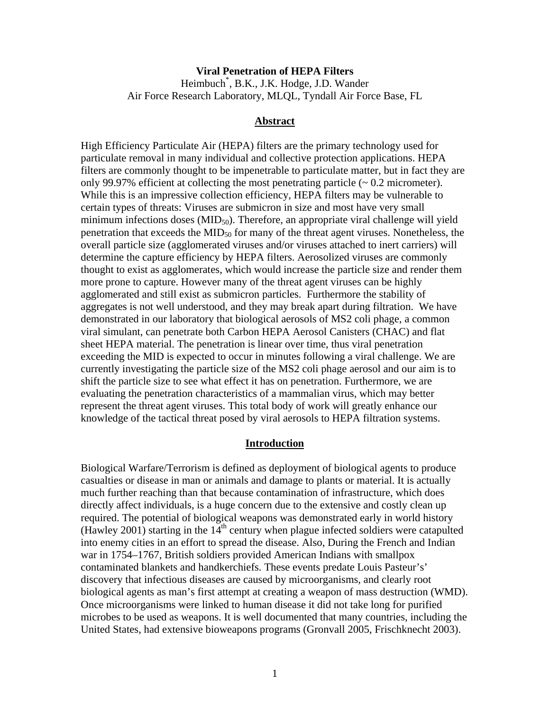## **Viral Penetration of HEPA Filters** Heimbuch\* , B.K., J.K. Hodge, J.D. Wander Air Force Research Laboratory, MLQL, Tyndall Air Force Base, FL

#### **Abstract**

High Efficiency Particulate Air (HEPA) filters are the primary technology used for particulate removal in many individual and collective protection applications. HEPA filters are commonly thought to be impenetrable to particulate matter, but in fact they are only 99.97% efficient at collecting the most penetrating particle (~ 0.2 micrometer). While this is an impressive collection efficiency, HEPA filters may be vulnerable to certain types of threats: Viruses are submicron in size and most have very small minimum infections doses  $(MID_{50})$ . Therefore, an appropriate viral challenge will yield penetration that exceeds the  $MID_{50}$  for many of the threat agent viruses. Nonetheless, the overall particle size (agglomerated viruses and/or viruses attached to inert carriers) will determine the capture efficiency by HEPA filters. Aerosolized viruses are commonly thought to exist as agglomerates, which would increase the particle size and render them more prone to capture. However many of the threat agent viruses can be highly agglomerated and still exist as submicron particles. Furthermore the stability of aggregates is not well understood, and they may break apart during filtration. We have demonstrated in our laboratory that biological aerosols of MS2 coli phage, a common viral simulant, can penetrate both Carbon HEPA Aerosol Canisters (CHAC) and flat sheet HEPA material. The penetration is linear over time, thus viral penetration exceeding the MID is expected to occur in minutes following a viral challenge. We are currently investigating the particle size of the MS2 coli phage aerosol and our aim is to shift the particle size to see what effect it has on penetration. Furthermore, we are evaluating the penetration characteristics of a mammalian virus, which may better represent the threat agent viruses. This total body of work will greatly enhance our knowledge of the tactical threat posed by viral aerosols to HEPA filtration systems.

#### **Introduction**

Biological Warfare/Terrorism is defined as deployment of biological agents to produce casualties or disease in man or animals and damage to plants or material. It is actually much further reaching than that because contamination of infrastructure, which does directly affect individuals, is a huge concern due to the extensive and costly clean up required. The potential of biological weapons was demonstrated early in world history (Hawley 2001) starting in the  $14<sup>th</sup>$  century when plague infected soldiers were catapulted into enemy cities in an effort to spread the disease. Also, During the French and Indian war in 1754–1767, British soldiers provided American Indians with smallpox contaminated blankets and handkerchiefs. These events predate Louis Pasteur's' discovery that infectious diseases are caused by microorganisms, and clearly root biological agents as man's first attempt at creating a weapon of mass destruction (WMD). Once microorganisms were linked to human disease it did not take long for purified microbes to be used as weapons. It is well documented that many countries, including the United States, had extensive bioweapons programs (Gronvall 2005, Frischknecht 2003).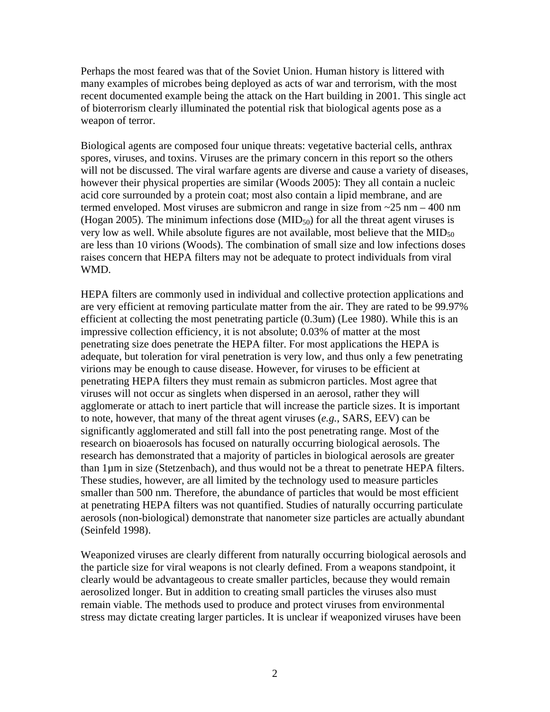Perhaps the most feared was that of the Soviet Union. Human history is littered with many examples of microbes being deployed as acts of war and terrorism, with the most recent documented example being the attack on the Hart building in 2001. This single act of bioterrorism clearly illuminated the potential risk that biological agents pose as a weapon of terror.

Biological agents are composed four unique threats: vegetative bacterial cells, anthrax spores, viruses, and toxins. Viruses are the primary concern in this report so the others will not be discussed. The viral warfare agents are diverse and cause a variety of diseases, however their physical properties are similar (Woods 2005): They all contain a nucleic acid core surrounded by a protein coat; most also contain a lipid membrane, and are termed enveloped. Most viruses are submicron and range in size from  $\sim$  25 nm – 400 nm (Hogan 2005). The minimum infections dose  $(MID_{50})$  for all the threat agent viruses is very low as well. While absolute figures are not available, most believe that the  $MID_{50}$ are less than 10 virions (Woods). The combination of small size and low infections doses raises concern that HEPA filters may not be adequate to protect individuals from viral WMD.

HEPA filters are commonly used in individual and collective protection applications and are very efficient at removing particulate matter from the air. They are rated to be 99.97% efficient at collecting the most penetrating particle (0.3um) (Lee 1980). While this is an impressive collection efficiency, it is not absolute; 0.03% of matter at the most penetrating size does penetrate the HEPA filter. For most applications the HEPA is adequate, but toleration for viral penetration is very low, and thus only a few penetrating virions may be enough to cause disease. However, for viruses to be efficient at penetrating HEPA filters they must remain as submicron particles. Most agree that viruses will not occur as singlets when dispersed in an aerosol, rather they will agglomerate or attach to inert particle that will increase the particle sizes. It is important to note, however, that many of the threat agent viruses (*e.g.*, SARS, EEV) can be significantly agglomerated and still fall into the post penetrating range. Most of the research on bioaerosols has focused on naturally occurring biological aerosols. The research has demonstrated that a majority of particles in biological aerosols are greater than 1µm in size (Stetzenbach), and thus would not be a threat to penetrate HEPA filters. These studies, however, are all limited by the technology used to measure particles smaller than 500 nm. Therefore, the abundance of particles that would be most efficient at penetrating HEPA filters was not quantified. Studies of naturally occurring particulate aerosols (non-biological) demonstrate that nanometer size particles are actually abundant (Seinfeld 1998).

Weaponized viruses are clearly different from naturally occurring biological aerosols and the particle size for viral weapons is not clearly defined. From a weapons standpoint, it clearly would be advantageous to create smaller particles, because they would remain aerosolized longer. But in addition to creating small particles the viruses also must remain viable. The methods used to produce and protect viruses from environmental stress may dictate creating larger particles. It is unclear if weaponized viruses have been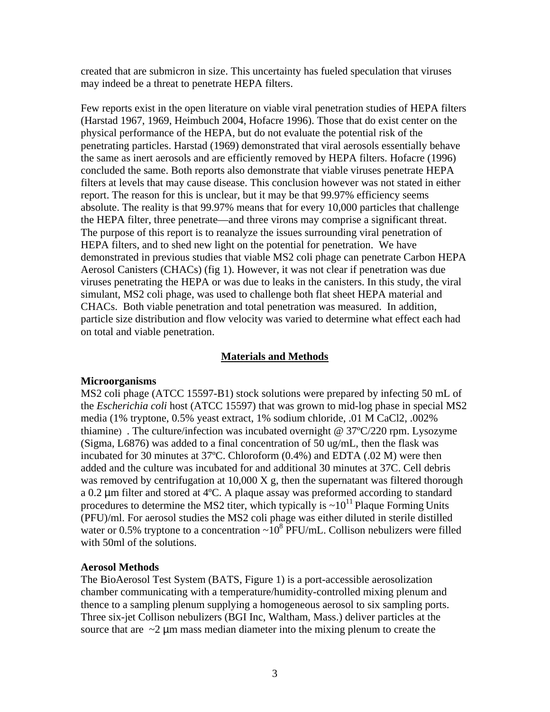created that are submicron in size. This uncertainty has fueled speculation that viruses may indeed be a threat to penetrate HEPA filters.

Few reports exist in the open literature on viable viral penetration studies of HEPA filters (Harstad 1967, 1969, Heimbuch 2004, Hofacre 1996). Those that do exist center on the physical performance of the HEPA, but do not evaluate the potential risk of the penetrating particles. Harstad (1969) demonstrated that viral aerosols essentially behave the same as inert aerosols and are efficiently removed by HEPA filters. Hofacre (1996) concluded the same. Both reports also demonstrate that viable viruses penetrate HEPA filters at levels that may cause disease. This conclusion however was not stated in either report. The reason for this is unclear, but it may be that 99.97% efficiency seems absolute. The reality is that 99.97% means that for every 10,000 particles that challenge the HEPA filter, three penetrate—and three virons may comprise a significant threat. The purpose of this report is to reanalyze the issues surrounding viral penetration of HEPA filters, and to shed new light on the potential for penetration. We have demonstrated in previous studies that viable MS2 coli phage can penetrate Carbon HEPA Aerosol Canisters (CHACs) (fig 1). However, it was not clear if penetration was due viruses penetrating the HEPA or was due to leaks in the canisters. In this study, the viral simulant, MS2 coli phage, was used to challenge both flat sheet HEPA material and CHACs. Both viable penetration and total penetration was measured. In addition, particle size distribution and flow velocity was varied to determine what effect each had on total and viable penetration.

### **Materials and Methods**

#### **Microorganisms**

MS2 coli phage (ATCC 15597-B1) stock solutions were prepared by infecting 50 mL of the *Escherichia coli* host (ATCC 15597) that was grown to mid-log phase in special MS2 media (1% tryptone, 0.5% yeast extract, 1% sodium chloride, .01 M CaCl2, .002% thiamine) . The culture/infection was incubated overnight @ 37ºC/220 rpm. Lysozyme (Sigma, L6876) was added to a final concentration of 50 ug/mL, then the flask was incubated for 30 minutes at 37ºC. Chloroform (0.4%) and EDTA (.02 M) were then added and the culture was incubated for and additional 30 minutes at 37C. Cell debris was removed by centrifugation at  $10,000 \text{ X g}$ , then the supernatant was filtered thorough a 0.2 µm filter and stored at 4ºC. A plaque assay was preformed according to standard procedures to determine the MS2 titer, which typically is  $\sim 10^{11}$  Plaque Forming Units (PFU)/ml. For aerosol studies the MS2 coli phage was either diluted in sterile distilled water or 0.5% tryptone to a concentration  $\sim 10^8$  PFU/mL. Collison nebulizers were filled with 50ml of the solutions.

### **Aerosol Methods**

The BioAerosol Test System (BATS, Figure 1) is a port-accessible aerosolization chamber communicating with a temperature/humidity-controlled mixing plenum and thence to a sampling plenum supplying a homogeneous aerosol to six sampling ports. Three six-jet Collison nebulizers (BGI Inc, Waltham, Mass.) deliver particles at the source that are  $\sim$ 2  $\mu$ m mass median diameter into the mixing plenum to create the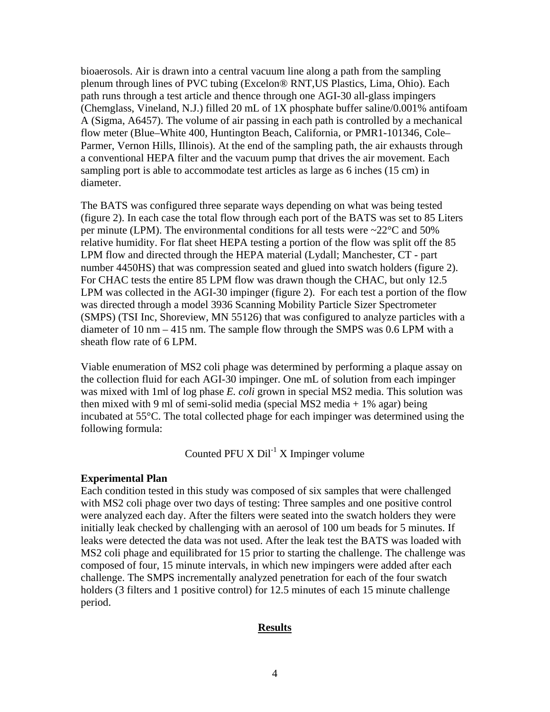bioaerosols. Air is drawn into a central vacuum line along a path from the sampling plenum through lines of PVC tubing (Excelon® RNT,US Plastics, Lima, Ohio). Each path runs through a test article and thence through one AGI-30 all-glass impingers (Chemglass, Vineland, N.J.) filled 20 mL of 1X phosphate buffer saline/0.001% antifoam A (Sigma, A6457). The volume of air passing in each path is controlled by a mechanical flow meter (Blue–White 400, Huntington Beach, California, or PMR1-101346, Cole– Parmer, Vernon Hills, Illinois). At the end of the sampling path, the air exhausts through a conventional HEPA filter and the vacuum pump that drives the air movement. Each sampling port is able to accommodate test articles as large as 6 inches (15 cm) in diameter.

The BATS was configured three separate ways depending on what was being tested (figure 2). In each case the total flow through each port of the BATS was set to 85 Liters per minute (LPM). The environmental conditions for all tests were  $\sim$ 22 $\degree$ C and 50% relative humidity. For flat sheet HEPA testing a portion of the flow was split off the 85 LPM flow and directed through the HEPA material (Lydall; Manchester, CT - part number 4450HS) that was compression seated and glued into swatch holders (figure 2). For CHAC tests the entire 85 LPM flow was drawn though the CHAC, but only 12.5 LPM was collected in the AGI-30 impinger (figure 2). For each test a portion of the flow was directed through a model 3936 Scanning Mobility Particle Sizer Spectrometer (SMPS) (TSI Inc, Shoreview, MN 55126) that was configured to analyze particles with a diameter of 10 nm – 415 nm. The sample flow through the SMPS was 0.6 LPM with a sheath flow rate of 6 LPM.

Viable enumeration of MS2 coli phage was determined by performing a plaque assay on the collection fluid for each AGI-30 impinger. One mL of solution from each impinger was mixed with 1ml of log phase *E. coli* grown in special MS2 media. This solution was then mixed with 9 ml of semi-solid media (special MS2 media  $+ 1\%$  agar) being incubated at 55°C. The total collected phage for each impinger was determined using the following formula:

Counted PFU X  $DiI^{-1}$  X Impinger volume

## **Experimental Plan**

Each condition tested in this study was composed of six samples that were challenged with MS2 coli phage over two days of testing: Three samples and one positive control were analyzed each day. After the filters were seated into the swatch holders they were initially leak checked by challenging with an aerosol of 100 um beads for 5 minutes. If leaks were detected the data was not used. After the leak test the BATS was loaded with MS2 coli phage and equilibrated for 15 prior to starting the challenge. The challenge was composed of four, 15 minute intervals, in which new impingers were added after each challenge. The SMPS incrementally analyzed penetration for each of the four swatch holders (3 filters and 1 positive control) for 12.5 minutes of each 15 minute challenge period.

## **Results**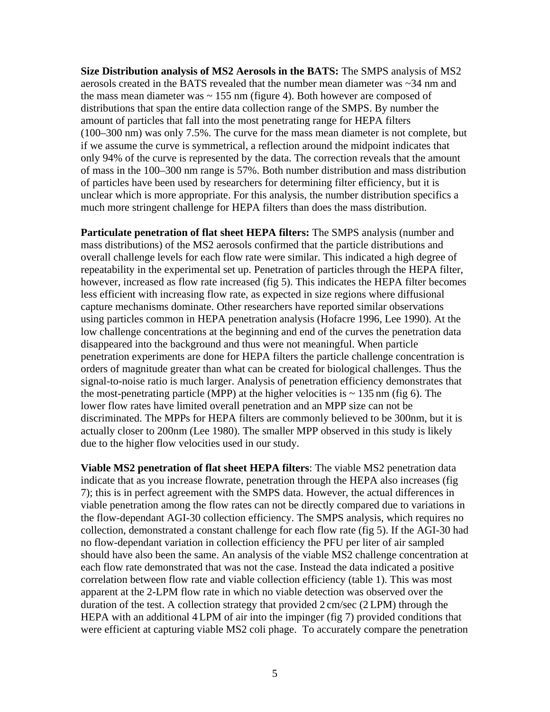**Size Distribution analysis of MS2 Aerosols in the BATS:** The SMPS analysis of MS2 aerosols created in the BATS revealed that the number mean diameter was ~34 nm and the mass mean diameter was  $\sim$  155 nm (figure 4). Both however are composed of distributions that span the entire data collection range of the SMPS. By number the amount of particles that fall into the most penetrating range for HEPA filters (100–300 nm) was only 7.5%. The curve for the mass mean diameter is not complete, but if we assume the curve is symmetrical, a reflection around the midpoint indicates that only 94% of the curve is represented by the data. The correction reveals that the amount of mass in the 100–300 nm range is 57%. Both number distribution and mass distribution of particles have been used by researchers for determining filter efficiency, but it is unclear which is more appropriate. For this analysis, the number distribution specifics a much more stringent challenge for HEPA filters than does the mass distribution.

**Particulate penetration of flat sheet HEPA filters:** The SMPS analysis (number and mass distributions) of the MS2 aerosols confirmed that the particle distributions and overall challenge levels for each flow rate were similar. This indicated a high degree of repeatability in the experimental set up. Penetration of particles through the HEPA filter, however, increased as flow rate increased (fig 5). This indicates the HEPA filter becomes less efficient with increasing flow rate, as expected in size regions where diffusional capture mechanisms dominate. Other researchers have reported similar observations using particles common in HEPA penetration analysis (Hofacre 1996, Lee 1990). At the low challenge concentrations at the beginning and end of the curves the penetration data disappeared into the background and thus were not meaningful. When particle penetration experiments are done for HEPA filters the particle challenge concentration is orders of magnitude greater than what can be created for biological challenges. Thus the signal-to-noise ratio is much larger. Analysis of penetration efficiency demonstrates that the most-penetrating particle (MPP) at the higher velocities is  $\sim$  135 nm (fig 6). The lower flow rates have limited overall penetration and an MPP size can not be discriminated. The MPPs for HEPA filters are commonly believed to be 300nm, but it is actually closer to 200nm (Lee 1980). The smaller MPP observed in this study is likely due to the higher flow velocities used in our study.

**Viable MS2 penetration of flat sheet HEPA filters**: The viable MS2 penetration data indicate that as you increase flowrate, penetration through the HEPA also increases (fig 7); this is in perfect agreement with the SMPS data. However, the actual differences in viable penetration among the flow rates can not be directly compared due to variations in the flow-dependant AGI-30 collection efficiency. The SMPS analysis, which requires no collection, demonstrated a constant challenge for each flow rate (fig 5). If the AGI-30 had no flow-dependant variation in collection efficiency the PFU per liter of air sampled should have also been the same. An analysis of the viable MS2 challenge concentration at each flow rate demonstrated that was not the case. Instead the data indicated a positive correlation between flow rate and viable collection efficiency (table 1). This was most apparent at the 2-LPM flow rate in which no viable detection was observed over the duration of the test. A collection strategy that provided 2 cm/sec (2 LPM) through the HEPA with an additional 4 LPM of air into the impinger (fig 7) provided conditions that were efficient at capturing viable MS2 coli phage. To accurately compare the penetration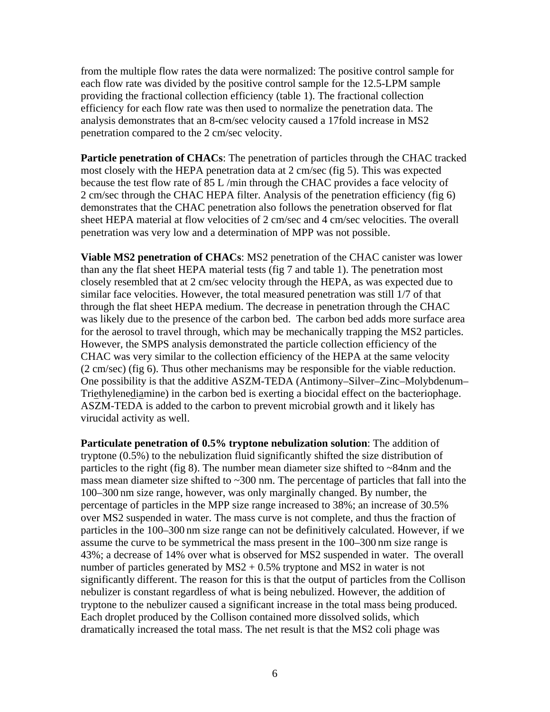from the multiple flow rates the data were normalized: The positive control sample for each flow rate was divided by the positive control sample for the 12.5-LPM sample providing the fractional collection efficiency (table 1). The fractional collection efficiency for each flow rate was then used to normalize the penetration data. The analysis demonstrates that an 8-cm/sec velocity caused a 17fold increase in MS2 penetration compared to the 2 cm/sec velocity.

**Particle penetration of CHACs**: The penetration of particles through the CHAC tracked most closely with the HEPA penetration data at 2 cm/sec (fig 5). This was expected because the test flow rate of 85 L /min through the CHAC provides a face velocity of 2 cm/sec through the CHAC HEPA filter. Analysis of the penetration efficiency (fig 6) demonstrates that the CHAC penetration also follows the penetration observed for flat sheet HEPA material at flow velocities of 2 cm/sec and 4 cm/sec velocities. The overall penetration was very low and a determination of MPP was not possible.

**Viable MS2 penetration of CHACs**: MS2 penetration of the CHAC canister was lower than any the flat sheet HEPA material tests (fig 7 and table 1). The penetration most closely resembled that at 2 cm/sec velocity through the HEPA, as was expected due to similar face velocities. However, the total measured penetration was still 1/7 of that through the flat sheet HEPA medium. The decrease in penetration through the CHAC was likely due to the presence of the carbon bed. The carbon bed adds more surface area for the aerosol to travel through, which may be mechanically trapping the MS2 particles. However, the SMPS analysis demonstrated the particle collection efficiency of the CHAC was very similar to the collection efficiency of the HEPA at the same velocity (2 cm/sec) (fig 6). Thus other mechanisms may be responsible for the viable reduction. One possibility is that the additive ASZM-TEDA (Antimony–Silver–Zinc–Molybdenum– Triethylenediamine) in the carbon bed is exerting a biocidal effect on the bacteriophage. ASZM-TEDA is added to the carbon to prevent microbial growth and it likely has virucidal activity as well.

**Particulate penetration of 0.5% tryptone nebulization solution**: The addition of tryptone (0.5%) to the nebulization fluid significantly shifted the size distribution of particles to the right (fig 8). The number mean diameter size shifted to ~84nm and the mass mean diameter size shifted to  $\sim$ 300 nm. The percentage of particles that fall into the 100–300 nm size range, however, was only marginally changed. By number, the percentage of particles in the MPP size range increased to 38%; an increase of 30.5% over MS2 suspended in water. The mass curve is not complete, and thus the fraction of particles in the 100–300 nm size range can not be definitively calculated. However, if we assume the curve to be symmetrical the mass present in the 100–300 nm size range is 43%; a decrease of 14% over what is observed for MS2 suspended in water. The overall number of particles generated by  $MS2 + 0.5\%$  tryptone and MS2 in water is not significantly different. The reason for this is that the output of particles from the Collison nebulizer is constant regardless of what is being nebulized. However, the addition of tryptone to the nebulizer caused a significant increase in the total mass being produced. Each droplet produced by the Collison contained more dissolved solids, which dramatically increased the total mass. The net result is that the MS2 coli phage was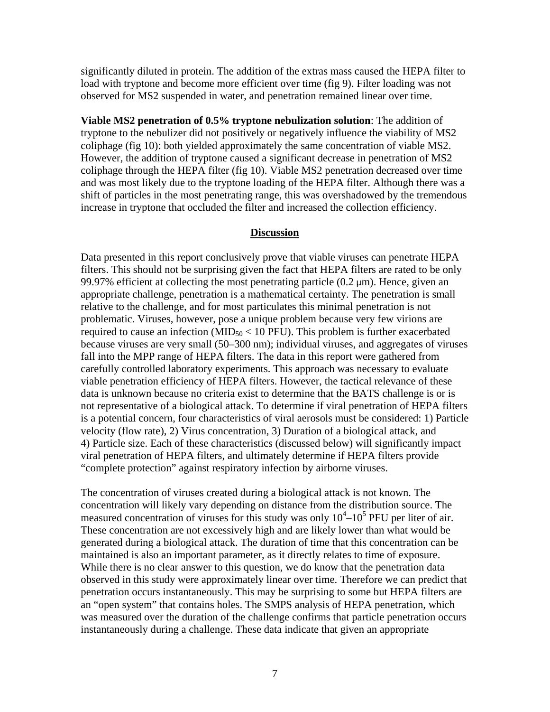significantly diluted in protein. The addition of the extras mass caused the HEPA filter to load with tryptone and become more efficient over time (fig 9). Filter loading was not observed for MS2 suspended in water, and penetration remained linear over time.

**Viable MS2 penetration of 0.5% tryptone nebulization solution**: The addition of tryptone to the nebulizer did not positively or negatively influence the viability of MS2 coliphage (fig 10): both yielded approximately the same concentration of viable MS2. However, the addition of tryptone caused a significant decrease in penetration of MS2 coliphage through the HEPA filter (fig 10). Viable MS2 penetration decreased over time and was most likely due to the tryptone loading of the HEPA filter. Although there was a shift of particles in the most penetrating range, this was overshadowed by the tremendous increase in tryptone that occluded the filter and increased the collection efficiency.

### **Discussion**

Data presented in this report conclusively prove that viable viruses can penetrate HEPA filters. This should not be surprising given the fact that HEPA filters are rated to be only 99.97% efficient at collecting the most penetrating particle  $(0.2 \mu m)$ . Hence, given an appropriate challenge, penetration is a mathematical certainty. The penetration is small relative to the challenge, and for most particulates this minimal penetration is not problematic. Viruses, however, pose a unique problem because very few virions are required to cause an infection ( $MID_{50} < 10$  PFU). This problem is further exacerbated because viruses are very small (50–300 nm); individual viruses, and aggregates of viruses fall into the MPP range of HEPA filters. The data in this report were gathered from carefully controlled laboratory experiments. This approach was necessary to evaluate viable penetration efficiency of HEPA filters. However, the tactical relevance of these data is unknown because no criteria exist to determine that the BATS challenge is or is not representative of a biological attack. To determine if viral penetration of HEPA filters is a potential concern, four characteristics of viral aerosols must be considered: 1) Particle velocity (flow rate), 2) Virus concentration, 3) Duration of a biological attack, and 4) Particle size. Each of these characteristics (discussed below) will significantly impact viral penetration of HEPA filters, and ultimately determine if HEPA filters provide "complete protection" against respiratory infection by airborne viruses.

The concentration of viruses created during a biological attack is not known. The concentration will likely vary depending on distance from the distribution source. The measured concentration of viruses for this study was only  $10^4$ – $10^5$  PFU per liter of air. These concentration are not excessively high and are likely lower than what would be generated during a biological attack. The duration of time that this concentration can be maintained is also an important parameter, as it directly relates to time of exposure. While there is no clear answer to this question, we do know that the penetration data observed in this study were approximately linear over time. Therefore we can predict that penetration occurs instantaneously. This may be surprising to some but HEPA filters are an "open system" that contains holes. The SMPS analysis of HEPA penetration, which was measured over the duration of the challenge confirms that particle penetration occurs instantaneously during a challenge. These data indicate that given an appropriate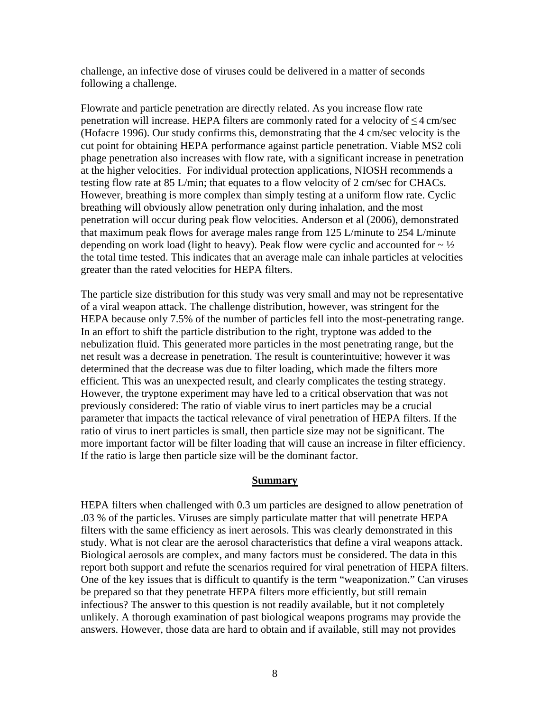challenge, an infective dose of viruses could be delivered in a matter of seconds following a challenge.

Flowrate and particle penetration are directly related. As you increase flow rate penetration will increase. HEPA filters are commonly rated for a velocity of ≤ 4 cm/sec (Hofacre 1996). Our study confirms this, demonstrating that the 4 cm/sec velocity is the cut point for obtaining HEPA performance against particle penetration. Viable MS2 coli phage penetration also increases with flow rate, with a significant increase in penetration at the higher velocities. For individual protection applications, NIOSH recommends a testing flow rate at 85 L/min; that equates to a flow velocity of 2 cm/sec for CHACs. However, breathing is more complex than simply testing at a uniform flow rate. Cyclic breathing will obviously allow penetration only during inhalation, and the most penetration will occur during peak flow velocities. Anderson et al (2006), demonstrated that maximum peak flows for average males range from 125 L/minute to 254 L/minute depending on work load (light to heavy). Peak flow were cyclic and accounted for  $\sim \frac{1}{2}$ the total time tested. This indicates that an average male can inhale particles at velocities greater than the rated velocities for HEPA filters.

The particle size distribution for this study was very small and may not be representative of a viral weapon attack. The challenge distribution, however, was stringent for the HEPA because only 7.5% of the number of particles fell into the most-penetrating range. In an effort to shift the particle distribution to the right, tryptone was added to the nebulization fluid. This generated more particles in the most penetrating range, but the net result was a decrease in penetration. The result is counterintuitive; however it was determined that the decrease was due to filter loading, which made the filters more efficient. This was an unexpected result, and clearly complicates the testing strategy. However, the tryptone experiment may have led to a critical observation that was not previously considered: The ratio of viable virus to inert particles may be a crucial parameter that impacts the tactical relevance of viral penetration of HEPA filters. If the ratio of virus to inert particles is small, then particle size may not be significant. The more important factor will be filter loading that will cause an increase in filter efficiency. If the ratio is large then particle size will be the dominant factor.

#### **Summary**

HEPA filters when challenged with 0.3 um particles are designed to allow penetration of .03 % of the particles. Viruses are simply particulate matter that will penetrate HEPA filters with the same efficiency as inert aerosols. This was clearly demonstrated in this study. What is not clear are the aerosol characteristics that define a viral weapons attack. Biological aerosols are complex, and many factors must be considered. The data in this report both support and refute the scenarios required for viral penetration of HEPA filters. One of the key issues that is difficult to quantify is the term "weaponization." Can viruses be prepared so that they penetrate HEPA filters more efficiently, but still remain infectious? The answer to this question is not readily available, but it not completely unlikely. A thorough examination of past biological weapons programs may provide the answers. However, those data are hard to obtain and if available, still may not provides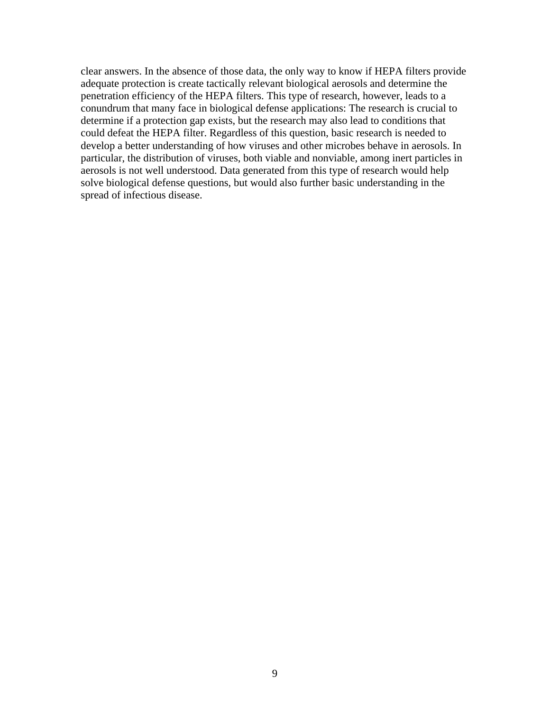clear answers. In the absence of those data, the only way to know if HEPA filters provide adequate protection is create tactically relevant biological aerosols and determine the penetration efficiency of the HEPA filters. This type of research, however, leads to a conundrum that many face in biological defense applications: The research is crucial to determine if a protection gap exists, but the research may also lead to conditions that could defeat the HEPA filter. Regardless of this question, basic research is needed to develop a better understanding of how viruses and other microbes behave in aerosols. In particular, the distribution of viruses, both viable and nonviable, among inert particles in aerosols is not well understood. Data generated from this type of research would help solve biological defense questions, but would also further basic understanding in the spread of infectious disease.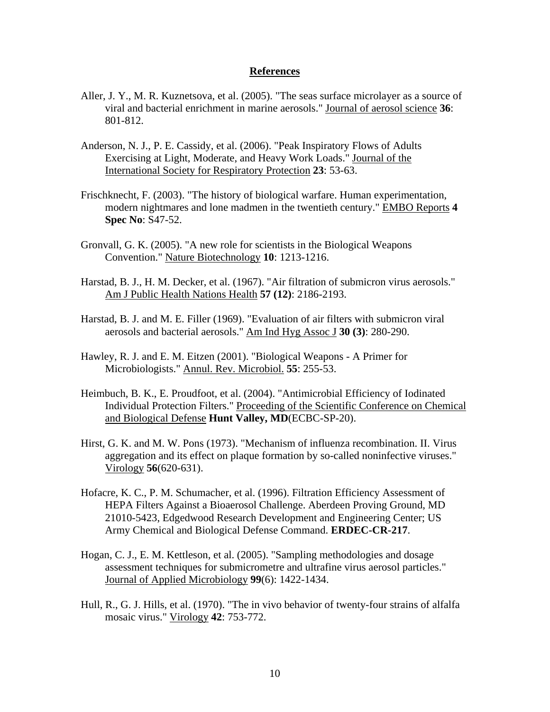#### **References**

- Aller, J. Y., M. R. Kuznetsova, et al. (2005). "The seas surface microlayer as a source of viral and bacterial enrichment in marine aerosols." Journal of aerosol science **36**: 801-812.
- Anderson, N. J., P. E. Cassidy, et al. (2006). "Peak Inspiratory Flows of Adults Exercising at Light, Moderate, and Heavy Work Loads." Journal of the International Society for Respiratory Protection **23**: 53-63.
- Frischknecht, F. (2003). "The history of biological warfare. Human experimentation, modern nightmares and lone madmen in the twentieth century." EMBO Reports **4 Spec No**: S47-52.
- Gronvall, G. K. (2005). "A new role for scientists in the Biological Weapons Convention." Nature Biotechnology **10**: 1213-1216.
- Harstad, B. J., H. M. Decker, et al. (1967). "Air filtration of submicron virus aerosols." Am J Public Health Nations Health **57 (12)**: 2186-2193.
- Harstad, B. J. and M. E. Filler (1969). "Evaluation of air filters with submicron viral aerosols and bacterial aerosols." Am Ind Hyg Assoc J **30 (3)**: 280-290.
- Hawley, R. J. and E. M. Eitzen (2001). "Biological Weapons A Primer for Microbiologists." Annul. Rev. Microbiol. **55**: 255-53.
- Heimbuch, B. K., E. Proudfoot, et al. (2004). "Antimicrobial Efficiency of Iodinated Individual Protection Filters." Proceeding of the Scientific Conference on Chemical and Biological Defense **Hunt Valley, MD**(ECBC-SP-20).
- Hirst, G. K. and M. W. Pons (1973). "Mechanism of influenza recombination. II. Virus aggregation and its effect on plaque formation by so-called noninfective viruses." Virology **56**(620-631).
- Hofacre, K. C., P. M. Schumacher, et al. (1996). Filtration Efficiency Assessment of HEPA Filters Against a Bioaerosol Challenge. Aberdeen Proving Ground, MD 21010-5423, Edgedwood Research Development and Engineering Center; US Army Chemical and Biological Defense Command. **ERDEC-CR-217**.
- Hogan, C. J., E. M. Kettleson, et al. (2005). "Sampling methodologies and dosage assessment techniques for submicrometre and ultrafine virus aerosol particles." Journal of Applied Microbiology **99**(6): 1422-1434.
- Hull, R., G. J. Hills, et al. (1970). "The in vivo behavior of twenty-four strains of alfalfa mosaic virus." Virology **42**: 753-772.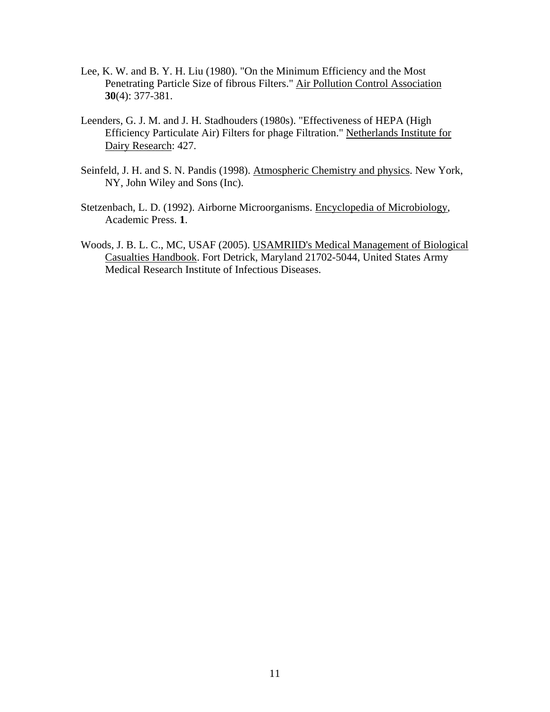- Lee, K. W. and B. Y. H. Liu (1980). "On the Minimum Efficiency and the Most Penetrating Particle Size of fibrous Filters." Air Pollution Control Association **30**(4): 377-381.
- Leenders, G. J. M. and J. H. Stadhouders (1980s). "Effectiveness of HEPA (High Efficiency Particulate Air) Filters for phage Filtration." Netherlands Institute for Dairy Research: 427.
- Seinfeld, J. H. and S. N. Pandis (1998). Atmospheric Chemistry and physics. New York, NY, John Wiley and Sons (Inc).
- Stetzenbach, L. D. (1992). Airborne Microorganisms. Encyclopedia of Microbiology, Academic Press. **1**.
- Woods, J. B. L. C., MC, USAF (2005). USAMRIID's Medical Management of Biological Casualties Handbook. Fort Detrick, Maryland 21702-5044, United States Army Medical Research Institute of Infectious Diseases.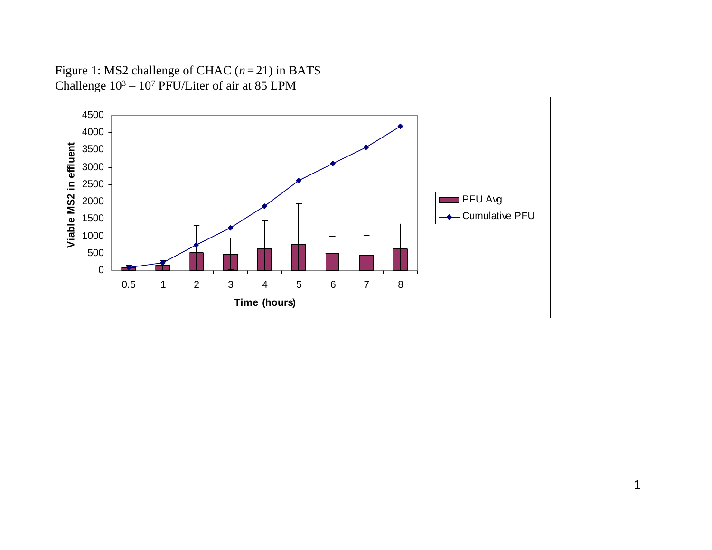Figure 1: MS2 challenge of CHAC  $(n=21)$  in BATS Challenge 103 – 107 PFU/Liter of air at 85 LPM

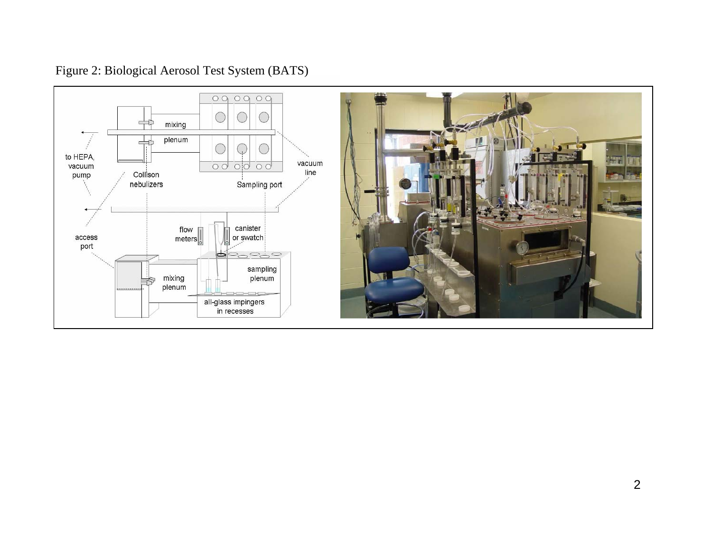# Figure 2: Biological Aerosol Test System (BATS)



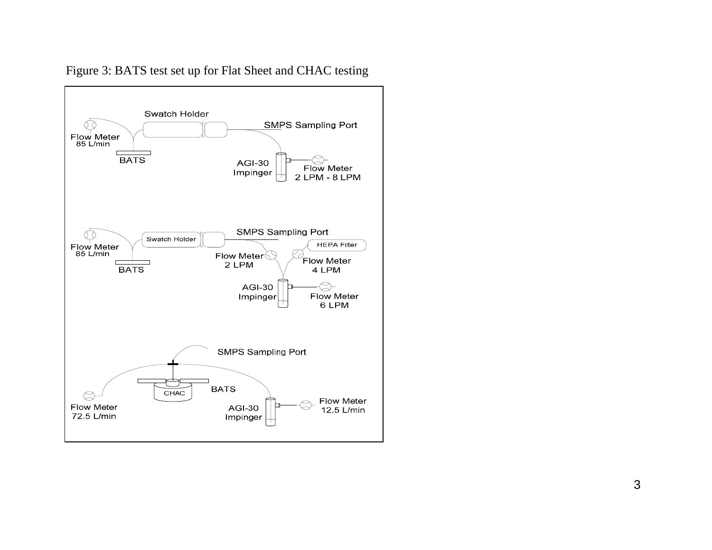

# Figure 3: BATS test set up for Flat Sheet and CHAC testing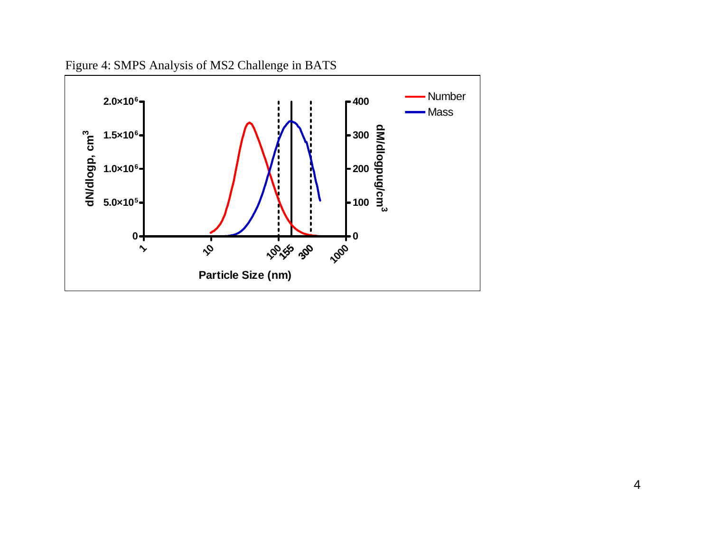Figure 4: SMPS Analysis of MS2 Challenge in BATS

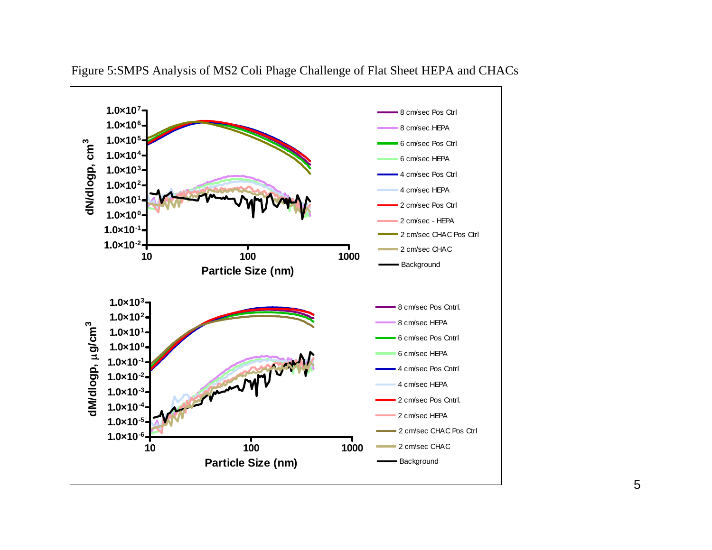

Figure 5:SMPS Analysis of MS2 Coli Phage Challenge of Flat Sheet HEPA and CHACs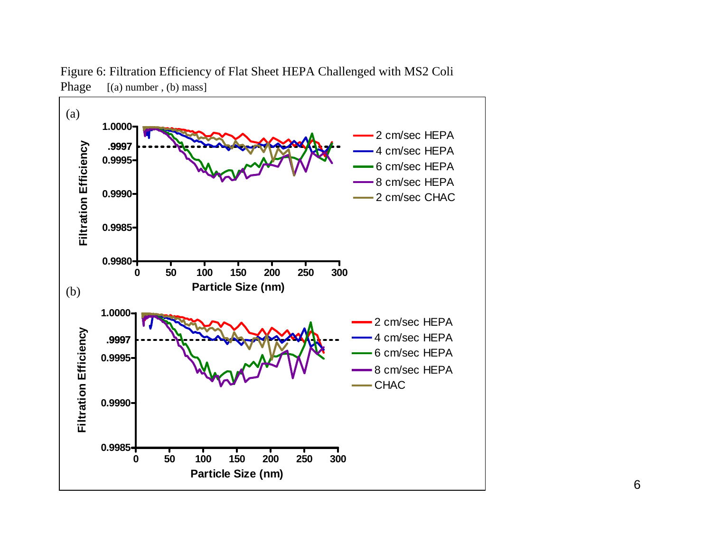

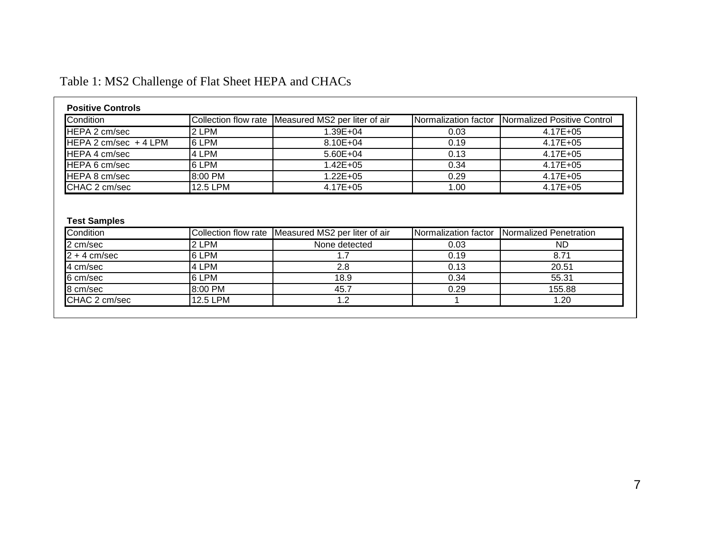# Table 1: MS2 Challenge of Flat Sheet HEPA and CHACs

| <b>Positive Controls</b> |          |                                                    |                      |                             |  |  |  |  |
|--------------------------|----------|----------------------------------------------------|----------------------|-----------------------------|--|--|--|--|
| Condition                |          | Collection flow rate Measured MS2 per liter of air | Normalization factor | Normalized Positive Control |  |  |  |  |
| <b>HEPA 2 cm/sec</b>     | 2 LPM    | $1.39E + 04$                                       | 0.03                 | 4.17E+05                    |  |  |  |  |
| HEPA 2 cm/sec $+4$ LPM   | 6 LPM    | $8.10E + 04$                                       | 0.19                 | 4.17E+05                    |  |  |  |  |
| <b>IHEPA 4 cm/sec</b>    | 4 LPM    | $5.60E + 04$                                       | 0.13                 | 4.17E+05                    |  |  |  |  |
| HEPA 6 cm/sec            | 6 LPM    | 1.42E+05                                           | 0.34                 | 4.17E+05                    |  |  |  |  |
| <b>HEPA 8 cm/sec</b>     | 8:00 PM  | $1.22E + 05$                                       | 0.29                 | 4.17E+05                    |  |  |  |  |
| ICHAC 2 cm/sec           | 12.5 LPM | $4.17E + 05$                                       | 1.00                 | $4.17E + 05$                |  |  |  |  |

# **Test Samples**

| <b>Condition</b> |          | Collection flow rate Measured MS2 per liter of air | INormalization factor | <b>INormalized Penetration</b> |
|------------------|----------|----------------------------------------------------|-----------------------|--------------------------------|
| 2 cm/sec         | 2 LPM    | None detected                                      | 0.03                  | ND.                            |
| $2 + 4$ cm/sec   | 6 LPM    |                                                    | 0.19                  | 8.71                           |
| 4 cm/sec         | 4 LPM    | 2.8                                                | 0.13                  | 20.51                          |
| 6 cm/sec         | 6 LPM    | 18.9                                               | 0.34                  | 55.31                          |
| 8 cm/sec         | 8:00 PM  | 45.7                                               | 0.29                  | 155.88                         |
| CHAC 2 cm/sec    | 12.5 LPM |                                                    |                       | 1.20                           |
|                  |          |                                                    |                       |                                |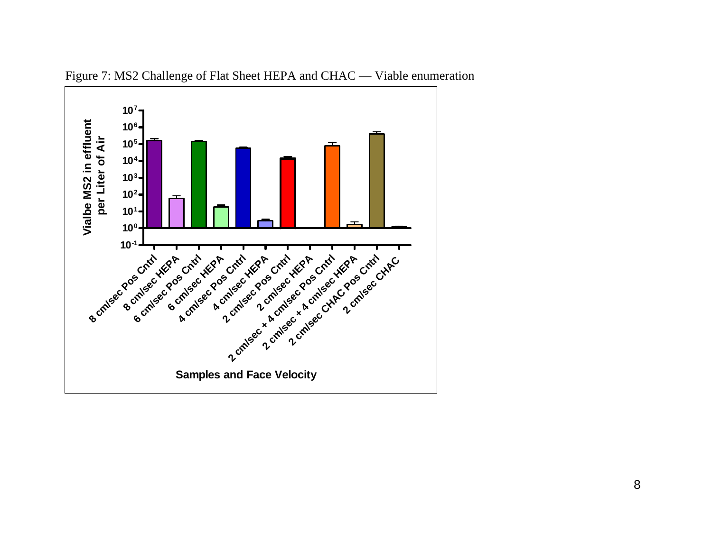

Figure 7: MS2 Challenge of Flat Sheet HEPA and CHAC — Viable enu meration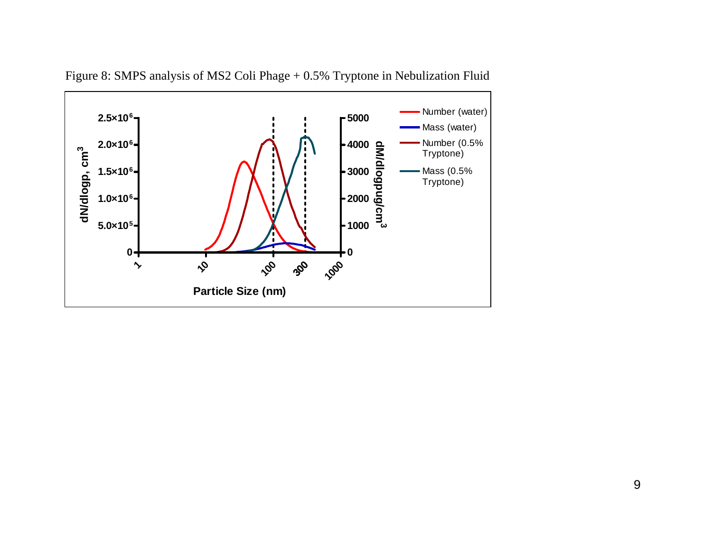

Figure 8: SMPS analysis of MS2 Coli Phage + 0.5% Tryptone in Nebulization Fluid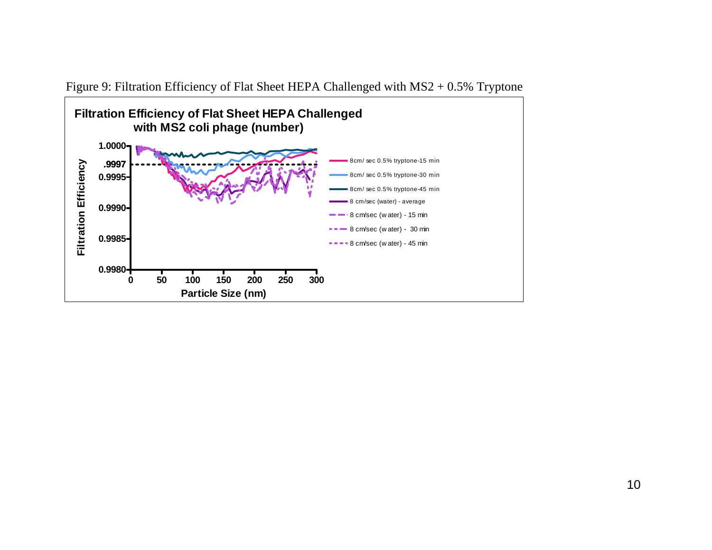

Figure 9: Filtration Efficiency of Flat Sheet HEPA Challenged with MS2 + 0.5% Tryptone